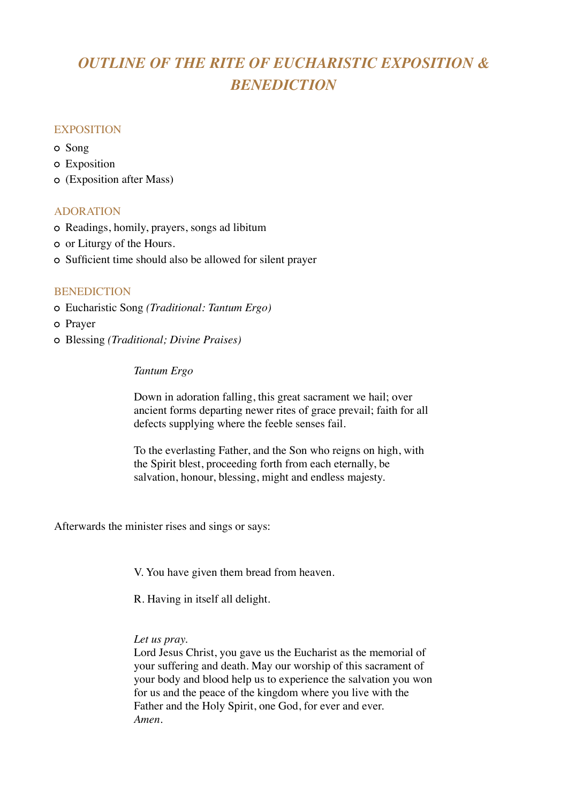# *OUTLINE OF THE RITE OF EUCHARISTIC EXPOSITION & BENEDICTION*

#### **EXPOSITION**

- Song
- Exposition
- (Exposition after Mass)

### ADORATION

- Readings, homily, prayers, songs ad libitum
- or Liturgy of the Hours.
- Sufficient time should also be allowed for silent prayer

#### **BENEDICTION**

- Eucharistic Song *(Traditional: Tantum Ergo)*
- o Prayer
- Blessing *(Traditional; Divine Praises)*

### *Tantum Ergo*

Down in adoration falling, this great sacrament we hail; over ancient forms departing newer rites of grace prevail; faith for all defects supplying where the feeble senses fail.

To the everlasting Father, and the Son who reigns on high, with the Spirit blest, proceeding forth from each eternally, be salvation, honour, blessing, might and endless majesty.

Afterwards the minister rises and sings or says:

V. You have given them bread from heaven.

R. Having in itself all delight.

#### *Let us pray.*

Lord Jesus Christ, you gave us the Eucharist as the memorial of your suffering and death. May our worship of this sacrament of your body and blood help us to experience the salvation you won for us and the peace of the kingdom where you live with the Father and the Holy Spirit, one God, for ever and ever. *Amen.*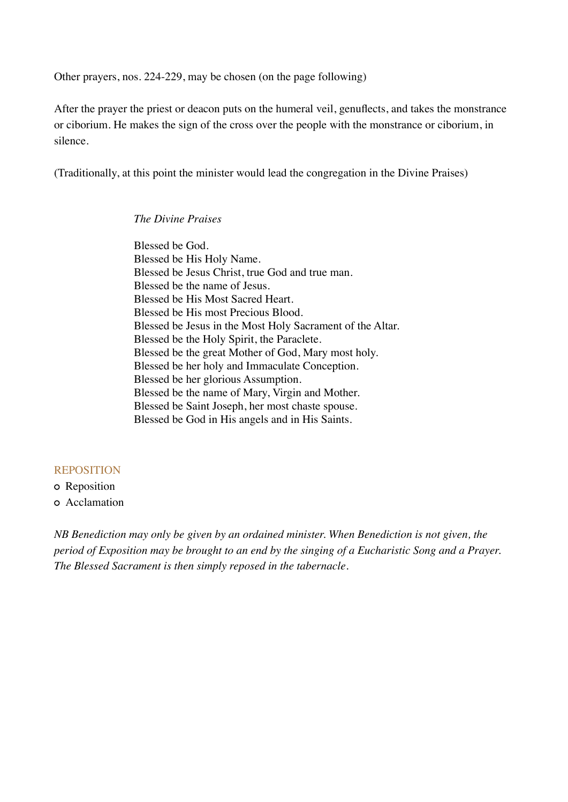Other prayers, nos. 224-229, may be chosen (on the page following)

After the prayer the priest or deacon puts on the humeral veil, genuflects, and takes the monstrance or ciborium. He makes the sign of the cross over the people with the monstrance or ciborium, in silence.

(Traditionally, at this point the minister would lead the congregation in the Divine Praises)

*The Divine Praises* 

Blessed be God. Blessed be His Holy Name. Blessed be Jesus Christ, true God and true man. Blessed be the name of Jesus. Blessed be His Most Sacred Heart. Blessed be His most Precious Blood. Blessed be Jesus in the Most Holy Sacrament of the Altar. Blessed be the Holy Spirit, the Paraclete. Blessed be the great Mother of God, Mary most holy. Blessed be her holy and Immaculate Conception. Blessed be her glorious Assumption. Blessed be the name of Mary, Virgin and Mother. Blessed be Saint Joseph, her most chaste spouse. Blessed be God in His angels and in His Saints.

#### REPOSITION

Reposition

Acclamation

*NB Benediction may only be given by an ordained minister. When Benediction is not given, the period of Exposition may be brought to an end by the singing of a Eucharistic Song and a Prayer. The Blessed Sacrament is then simply reposed in the tabernacle.*